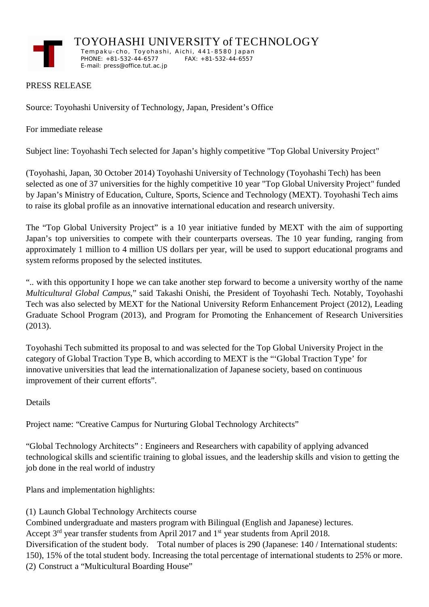

TOYOHASHI UNIVERSITY of TECHNOLOGY

 Temp a k u - c h o , To y oh a shi , A i ch i , 44 1 -8 58 0 J a p an PHONE:  $+81-532-44-6577$ E-mail: press@office.tut.ac.jp

## PRESS RELEASE

Source: Toyohashi University of Technology, Japan, President's Office

For immediate release

Subject line: Toyohashi Tech selected for Japan's highly competitive "Top Global University Project"

(Toyohashi, Japan, 30 October 2014) Toyohashi University of Technology (Toyohashi Tech) has been selected as one of 37 universities for the highly competitive 10 year "Top Global University Project" funded by Japan's Ministry of Education, Culture, Sports, Science and Technology (MEXT). Toyohashi Tech aims to raise its global profile as an innovative international education and research university.

The "Top Global University Project" is a 10 year initiative funded by MEXT with the aim of supporting Japan's top universities to compete with their counterparts overseas. The 10 year funding, ranging from approximately 1 million to 4 million US dollars per year, will be used to support educational programs and system reforms proposed by the selected institutes.

".. with this opportunity I hope we can take another step forward to become a university worthy of the name *Multicultural Global Campus*," said Takashi Onishi, the President of Toyohashi Tech. Notably, Toyohashi Tech was also selected by MEXT for the National University Reform Enhancement Project (2012), Leading Graduate School Program (2013), and Program for Promoting the Enhancement of Research Universities (2013).

Toyohashi Tech submitted its proposal to and was selected for the Top Global University Project in the category of Global Traction Type B, which according to MEXT is the "'Global Traction Type' for innovative universities that lead the internationalization of Japanese society, based on continuous improvement of their current efforts".

Details

Project name: "Creative Campus for Nurturing Global Technology Architects"

"Global Technology Architects" : Engineers and Researchers with capability of applying advanced technological skills and scientific training to global issues, and the leadership skills and vision to getting the job done in the real world of industry

Plans and implementation highlights:

(1) Launch Global Technology Architects course

Combined undergraduate and masters program with Bilingual (English and Japanese) lectures. Accept 3<sup>rd</sup> year transfer students from April 2017 and 1<sup>st</sup> year students from April 2018. Diversification of the student body. Total number of places is 290 (Japanese: 140 / International students: 150), 15% of the total student body. Increasing the total percentage of international students to 25% or more. (2) Construct a "Multicultural Boarding House"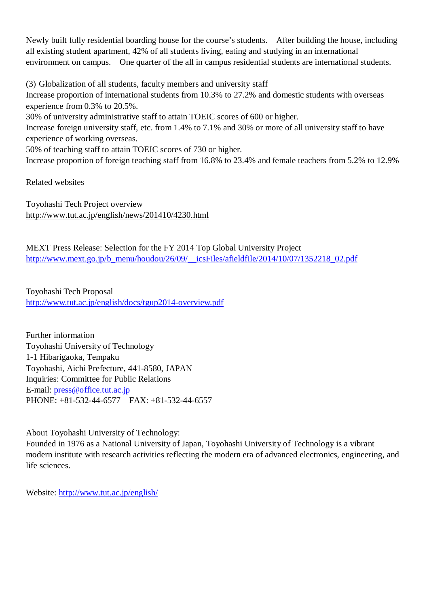Newly built fully residential boarding house for the course's students. After building the house, including all existing student apartment, 42% of all students living, eating and studying in an international environment on campus. One quarter of the all in campus residential students are international students.

(3) Globalization of all students, faculty members and university staff Increase proportion of international students from 10.3% to 27.2% and domestic students with overseas experience from 0.3% to 20.5%.

30% of university administrative staff to attain TOEIC scores of 600 or higher.

Increase foreign university staff, etc. from 1.4% to 7.1% and 30% or more of all university staff to have experience of working overseas.

50% of teaching staff to attain TOEIC scores of 730 or higher.

Increase proportion of foreign teaching staff from 16.8% to 23.4% and female teachers from 5.2% to 12.9%

Related websites

Toyohashi Tech Project overview http://www.tut.ac.jp/english/news/201410/4230.html

MEXT Press Release: Selection for the FY 2014 Top Global University Project http://www.mext.go.jp/b\_menu/houdou/26/09/\_\_icsFiles/afieldfile/2014/10/07/1352218\_02.pdf

Toyohashi Tech Proposal http://www.tut.ac.jp/english/docs/tgup2014-overview.pdf

Further information Toyohashi University of Technology 1-1 Hibarigaoka, Tempaku Toyohashi, Aichi Prefecture, 441-8580, JAPAN Inquiries: Committee for Public Relations E-mail: press@office.tut.ac.jp PHONE: +81-532-44-6577 FAX: +81-532-44-6557

About Toyohashi University of Technology:

Founded in 1976 as a National University of Japan, Toyohashi University of Technology is a vibrant modern institute with research activities reflecting the modern era of advanced electronics, engineering, and life sciences.

Website: http://www.tut.ac.jp/english/